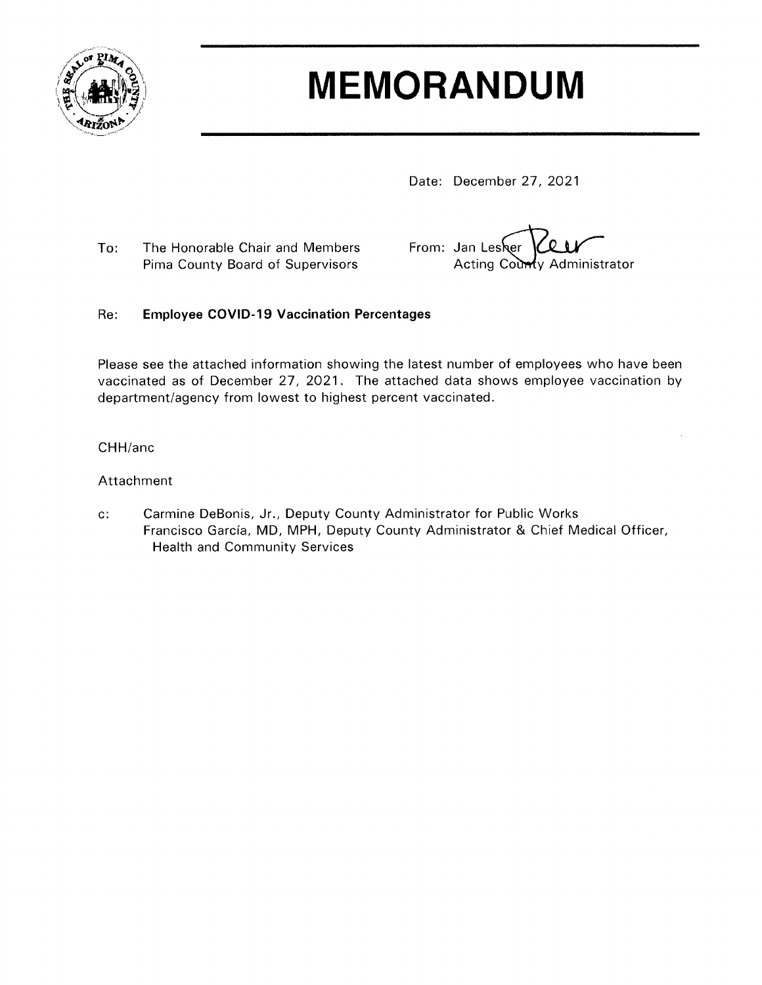

# **MEMORANDUM**

Date: December 27, 2021

To: The Honorable Chair and Members Pima County Board of Supervisors

From: Jan Lesher Acting County Administrator

#### Re: **Employee COVID-19 Vaccination Percentages**

Please see the attached information showing the latest number of employees who have been vaccinated as of December 27, 2021. The attached data shows employee vaccination by department/agency from lowest to highest percent vaccinated.

CHH/anc

### Attachment

 $\mathbf{c}$ : Carmine DeBonis, Jr., Deputy County Administrator for Public Works Francisco García, MD, MPH, Deputy County Administrator & Chief Medical Officer, **Health and Community Services**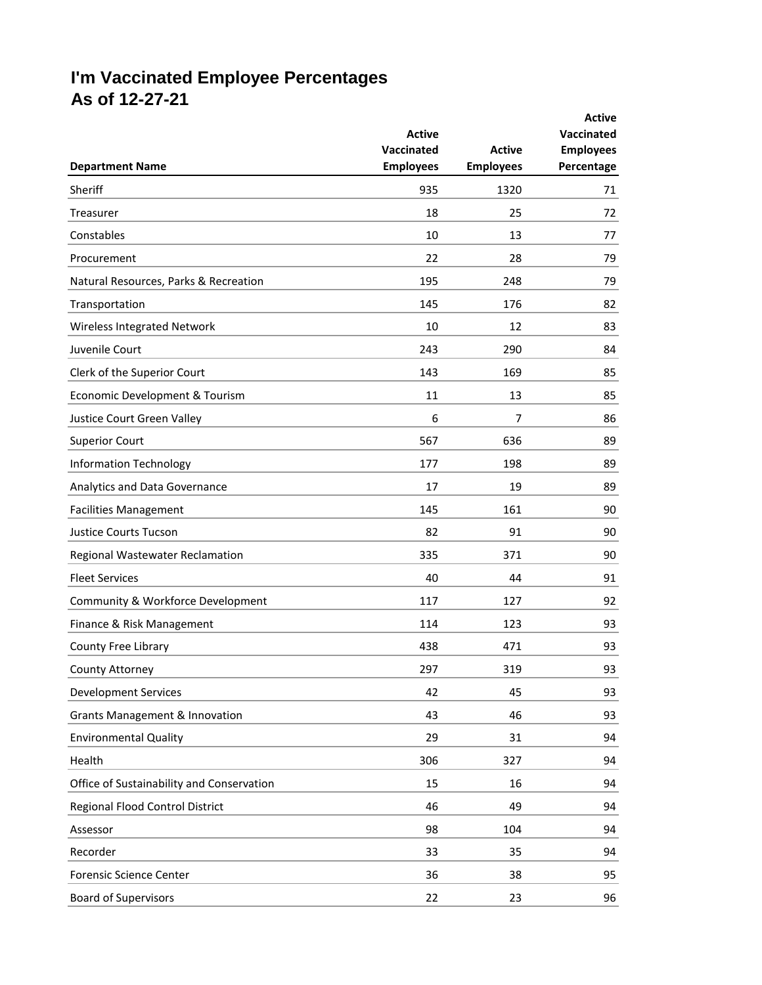## **I'm Vaccinated Employee Percentages As of 12-27-21**

|                                           |                                       |                                   | <b>Active</b>                  |
|-------------------------------------------|---------------------------------------|-----------------------------------|--------------------------------|
|                                           | <b>Active</b>                         |                                   | Vaccinated                     |
| <b>Department Name</b>                    | <b>Vaccinated</b><br><b>Employees</b> | <b>Active</b><br><b>Employees</b> | <b>Employees</b><br>Percentage |
| Sheriff                                   | 935                                   | 1320                              | 71                             |
| Treasurer                                 | 18                                    | 25                                | 72                             |
| Constables                                | 10                                    | 13                                | 77                             |
| Procurement                               | 22                                    | 28                                | 79                             |
| Natural Resources, Parks & Recreation     | 195                                   | 248                               | 79                             |
| Transportation                            | 145                                   | 176                               | 82                             |
| Wireless Integrated Network               | 10                                    | 12                                | 83                             |
| Juvenile Court                            | 243                                   | 290                               | 84                             |
| Clerk of the Superior Court               | 143                                   | 169                               | 85                             |
| Economic Development & Tourism            | 11                                    | 13                                | 85                             |
| Justice Court Green Valley                | 6                                     | 7                                 | 86                             |
| <b>Superior Court</b>                     | 567                                   | 636                               | 89                             |
| <b>Information Technology</b>             | 177                                   | 198                               | 89                             |
| Analytics and Data Governance             | 17                                    | 19                                | 89                             |
| <b>Facilities Management</b>              | 145                                   | 161                               | 90                             |
| <b>Justice Courts Tucson</b>              | 82                                    | 91                                | 90                             |
| Regional Wastewater Reclamation           | 335                                   | 371                               | 90                             |
| <b>Fleet Services</b>                     | 40                                    | 44                                | 91                             |
| Community & Workforce Development         | 117                                   | 127                               | 92                             |
| Finance & Risk Management                 | 114                                   | 123                               | 93                             |
| County Free Library                       | 438                                   | 471                               | 93                             |
| County Attorney                           | 297                                   | 319                               | 93                             |
| <b>Development Services</b>               | 42                                    | 45                                | 93                             |
| <b>Grants Management &amp; Innovation</b> | 43                                    | 46                                | 93                             |
| <b>Environmental Quality</b>              | 29                                    | 31                                | 94                             |
| Health                                    | 306                                   | 327                               | 94                             |
| Office of Sustainability and Conservation | 15                                    | 16                                | 94                             |
| Regional Flood Control District           | 46                                    | 49                                | 94                             |
| Assessor                                  | 98                                    | 104                               | 94                             |
| Recorder                                  | 33                                    | 35                                | 94                             |
| Forensic Science Center                   | 36                                    | 38                                | 95                             |
| <b>Board of Supervisors</b>               | 22                                    | 23                                | 96                             |